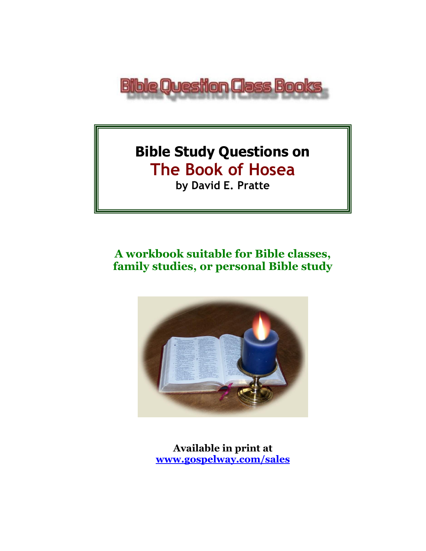

# **Bible Study Questions on The Book of Hosea by David E. Pratte**

# **A workbook suitable for Bible classes, family studies, or personal Bible study**



**Available in print at [www.gospelway.com/sales](https://www.gospelway.com/sales)**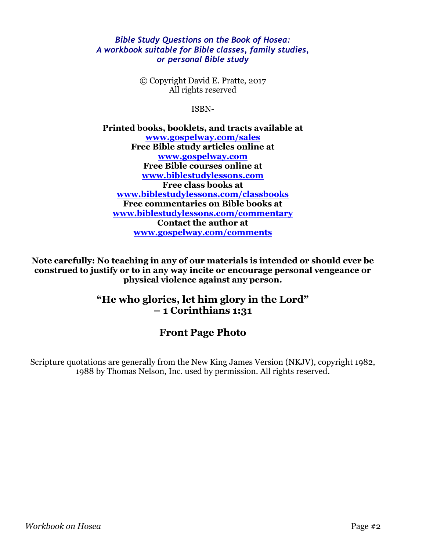#### *Bible Study Questions on the Book of Hosea: A workbook suitable for Bible classes, family studies, or personal Bible study*

© Copyright David E. Pratte, 2017 All rights reserved

ISBN-

**Printed books, booklets, and tracts available at [www.gospelway.com/sales](https://www.gospelway.com/sales) Free Bible study articles online at [www.gospelway.com](http://www.gospelway.com/) Free Bible courses online at [www.biblestudylessons.com](http://www.biblestudylessons.com/) Free class books at [www.biblestudylessons.com/classbooks](http://www.biblestudylessons.com/classbooks) Free commentaries on Bible books at [www.biblestudylessons.com/commentary](https://www.biblestudylessons.com/commentary) Contact the author at [www.gospelway.com/comments](http://www.gospelway.com/comments)**

**Note carefully: No teaching in any of our materials is intended or should ever be construed to justify or to in any way incite or encourage personal vengeance or physical violence against any person.**

### **"He who glories, let him glory in the Lord" – 1 Corinthians 1:31**

### **Front Page Photo**

Scripture quotations are generally from the New King James Version (NKJV), copyright 1982, 1988 by Thomas Nelson, Inc. used by permission. All rights reserved.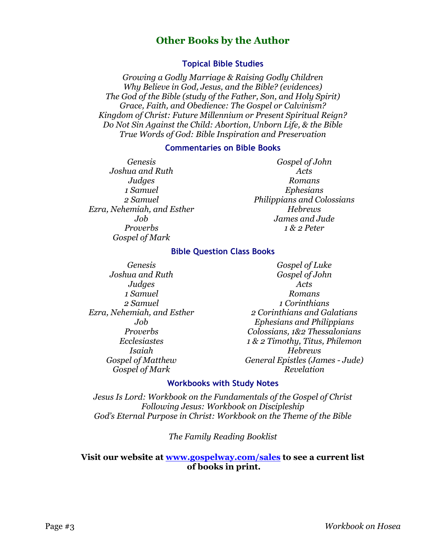### **Other Books by the Author**

#### **Topical Bible Studies**

*Growing a Godly Marriage & Raising Godly Children Why Believe in God, Jesus, and the Bible? (evidences) The God of the Bible (study of the Father, Son, and Holy Spirit) Grace, Faith, and Obedience: The Gospel or Calvinism? Kingdom of Christ: Future Millennium or Present Spiritual Reign? Do Not Sin Against the Child: Abortion, Unborn Life, & the Bible True Words of God: Bible Inspiration and Preservation*

#### **Commentaries on Bible Books**

*Genesis Joshua and Ruth Judges 1 Samuel 2 Samuel Ezra, Nehemiah, and Esther Job Proverbs Gospel of Mark* 

*Gospel of John Acts Romans Ephesians Philippians and Colossians Hebrews James and Jude 1 & 2 Peter*

#### **Bible Question Class Books**

*Genesis Joshua and Ruth Judges 1 Samuel 2 Samuel Ezra, Nehemiah, and Esther Job Proverbs Ecclesiastes Isaiah Gospel of Matthew Gospel of Mark*

*Gospel of Luke Gospel of John Acts Romans 1 Corinthians 2 Corinthians and Galatians Ephesians and Philippians Colossians, 1&2 Thessalonians 1 & 2 Timothy, Titus, Philemon Hebrews General Epistles (James - Jude) Revelation*

#### **Workbooks with Study Notes**

*Jesus Is Lord: Workbook on the Fundamentals of the Gospel of Christ Following Jesus: Workbook on Discipleship God's Eternal Purpose in Christ: Workbook on the Theme of the Bible*

*The Family Reading Booklist*

#### **Visit our website at [www.gospelway.com/sales](https://www.gospelway.com/sales) to see a current list of books in print.**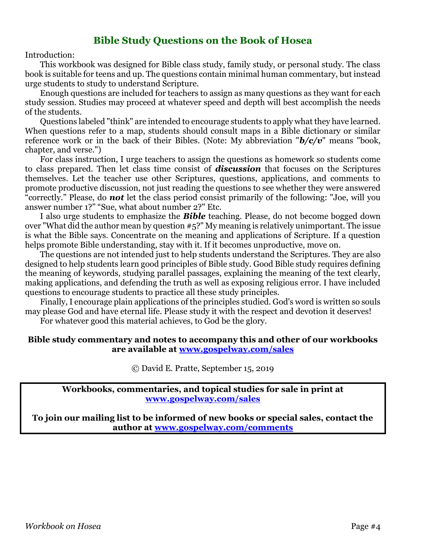### **Bible Study Questions on the Book of Hosea**

Introduction:

This workbook was designed for Bible class study, family study, or personal study. The class book is suitable for teens and up. The questions contain minimal human commentary, but instead urge students to study to understand Scripture.

Enough questions are included for teachers to assign as many questions as they want for each study session. Studies may proceed at whatever speed and depth will best accomplish the needs of the students.

Questions labeled "think" are intended to encourage students to apply what they have learned. When questions refer to a map, students should consult maps in a Bible dictionary or similar reference work or in the back of their Bibles. (Note: My abbreviation "*b/c/v*" means "book, chapter, and verse.")

For class instruction, I urge teachers to assign the questions as homework so students come to class prepared. Then let class time consist of *discussion* that focuses on the Scriptures themselves. Let the teacher use other Scriptures, questions, applications, and comments to promote productive discussion, not just reading the questions to see whether they were answered "correctly." Please, do *not* let the class period consist primarily of the following: "Joe, will you answer number 1?" "Sue, what about number 2?" Etc.

I also urge students to emphasize the *Bible* teaching. Please, do not become bogged down over "What did the author mean by question #5?" My meaning is relatively unimportant. The issue is what the Bible says. Concentrate on the meaning and applications of Scripture. If a question helps promote Bible understanding, stay with it. If it becomes unproductive, move on.

The questions are not intended just to help students understand the Scriptures. They are also designed to help students learn good principles of Bible study. Good Bible study requires defining the meaning of keywords, studying parallel passages, explaining the meaning of the text clearly, making applications, and defending the truth as well as exposing religious error. I have included questions to encourage students to practice all these study principles.

Finally, I encourage plain applications of the principles studied. God's word is written so souls may please God and have eternal life. Please study it with the respect and devotion it deserves!

For whatever good this material achieves, to God be the glory.

#### **Bible study commentary and notes to accompany this and other of our workbooks are available at [www.gospelway.com/sales](https://www.gospelway.com/sales)**

© David E. Pratte, September 15, 2019

**Workbooks, commentaries, and topical studies for sale in print at [www.gospelway.com/sales](https://www.gospelway.com/sales)**

**To join our mailing list to be informed of new books or special sales, contact the author at [www.gospelway.com/comments](http://www.gospelway.com/comments)**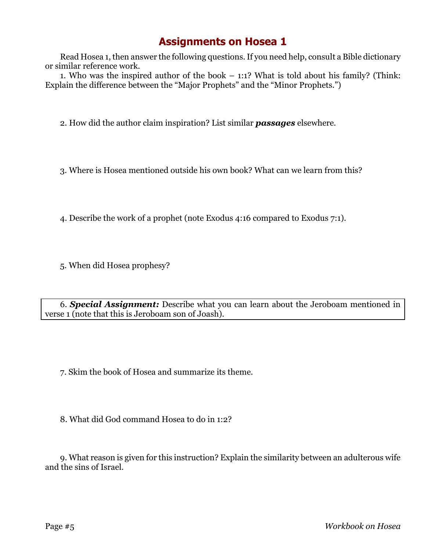Read Hosea 1, then answer the following questions. If you need help, consult a Bible dictionary or similar reference work.

1. Who was the inspired author of the book – 1:1? What is told about his family? (Think: Explain the difference between the "Major Prophets" and the "Minor Prophets.")

2. How did the author claim inspiration? List similar *passages* elsewhere.

3. Where is Hosea mentioned outside his own book? What can we learn from this?

4. Describe the work of a prophet (note Exodus 4:16 compared to Exodus 7:1).

5. When did Hosea prophesy?

6. *Special Assignment:* Describe what you can learn about the Jeroboam mentioned in verse 1 (note that this is Jeroboam son of Joash).

7. Skim the book of Hosea and summarize its theme.

8. What did God command Hosea to do in 1:2?

9. What reason is given for this instruction? Explain the similarity between an adulterous wife and the sins of Israel.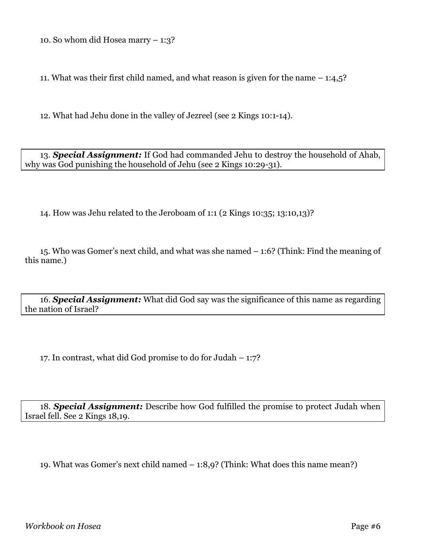10. So whom did Hosea marry – 1:3?

11. What was their first child named, and what reason is given for the name – 1:4,5?

12. What had Jehu done in the valley of Jezreel (see 2 Kings 10:1-14).

13. *Special Assignment:* If God had commanded Jehu to destroy the household of Ahab, why was God punishing the household of Jehu (see 2 Kings 10:29-31).

14. How was Jehu related to the Jeroboam of 1:1 (2 Kings 10:35; 13:10,13)?

15. Who was Gomer's next child, and what was she named – 1:6? (Think: Find the meaning of this name.)

16. *Special Assignment:* What did God say was the significance of this name as regarding the nation of Israel?

17. In contrast, what did God promise to do for Judah – 1:7?

18. *Special Assignment:* Describe how God fulfilled the promise to protect Judah when Israel fell. See 2 Kings 18,19.

19. What was Gomer's next child named – 1:8,9? (Think: What does this name mean?)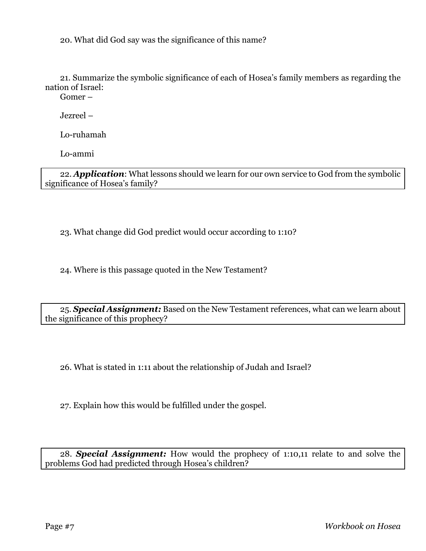20. What did God say was the significance of this name?

21. Summarize the symbolic significance of each of Hosea's family members as regarding the nation of Israel:

Gomer –

Jezreel –

Lo-ruhamah

Lo-ammi

22. *Application*: What lessons should we learn for our own service to God from the symbolic significance of Hosea's family?

23. What change did God predict would occur according to 1:10?

24. Where is this passage quoted in the New Testament?

25. *Special Assignment:* Based on the New Testament references, what can we learn about the significance of this prophecy?

26. What is stated in 1:11 about the relationship of Judah and Israel?

27. Explain how this would be fulfilled under the gospel.

28. *Special Assignment:* How would the prophecy of 1:10,11 relate to and solve the problems God had predicted through Hosea's children?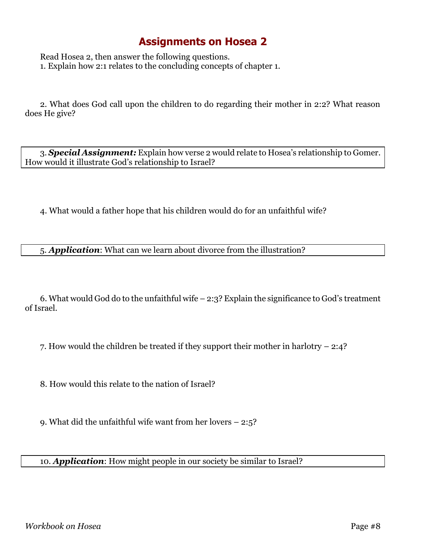Read Hosea 2, then answer the following questions. 1. Explain how 2:1 relates to the concluding concepts of chapter 1.

2. What does God call upon the children to do regarding their mother in 2:2? What reason does He give?

3. *Special Assignment:* Explain how verse 2 would relate to Hosea's relationship to Gomer. How would it illustrate God's relationship to Israel?

4. What would a father hope that his children would do for an unfaithful wife?

5. *Application*: What can we learn about divorce from the illustration?

6. What would God do to the unfaithful wife – 2:3? Explain the significance to God's treatment of Israel.

7. How would the children be treated if they support their mother in harlotry – 2:4?

8. How would this relate to the nation of Israel?

9. What did the unfaithful wife want from her lovers – 2:5?

#### 10. *Application*: How might people in our society be similar to Israel?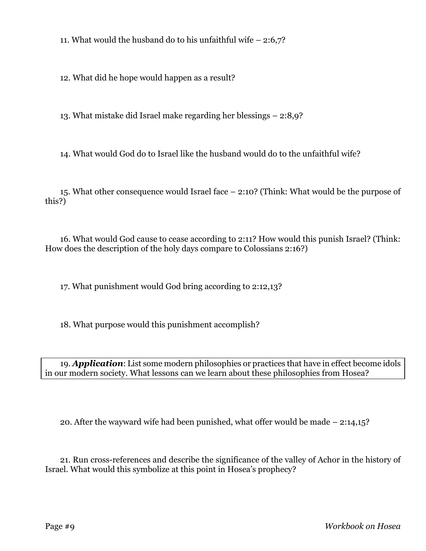11. What would the husband do to his unfaithful wife  $-2:6,7$ ?

12. What did he hope would happen as a result?

13. What mistake did Israel make regarding her blessings – 2:8,9?

14. What would God do to Israel like the husband would do to the unfaithful wife?

15. What other consequence would Israel face – 2:10? (Think: What would be the purpose of this?)

16. What would God cause to cease according to 2:11? How would this punish Israel? (Think: How does the description of the holy days compare to Colossians 2:16?)

17. What punishment would God bring according to 2:12,13?

18. What purpose would this punishment accomplish?

19. *Application*: List some modern philosophies or practices that have in effect become idols in our modern society. What lessons can we learn about these philosophies from Hosea?

20. After the wayward wife had been punished, what offer would be made – 2:14,15?

21. Run cross-references and describe the significance of the valley of Achor in the history of Israel. What would this symbolize at this point in Hosea's prophecy?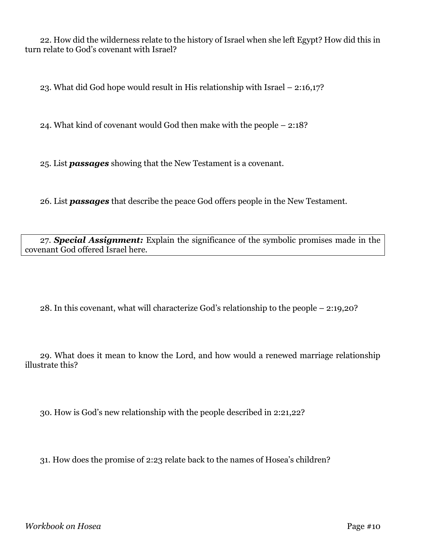22. How did the wilderness relate to the history of Israel when she left Egypt? How did this in turn relate to God's covenant with Israel?

23. What did God hope would result in His relationship with Israel – 2:16,17?

24. What kind of covenant would God then make with the people – 2:18?

25. List *passages* showing that the New Testament is a covenant.

26. List *passages* that describe the peace God offers people in the New Testament.

27. *Special Assignment:* Explain the significance of the symbolic promises made in the covenant God offered Israel here.

28. In this covenant, what will characterize God's relationship to the people – 2:19,20?

29. What does it mean to know the Lord, and how would a renewed marriage relationship illustrate this?

30. How is God's new relationship with the people described in 2:21,22?

31. How does the promise of 2:23 relate back to the names of Hosea's children?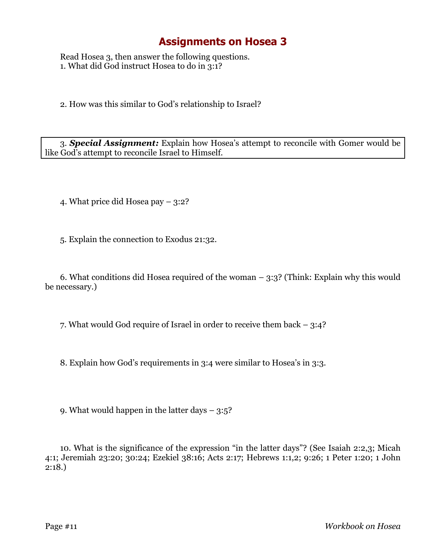Read Hosea 3, then answer the following questions. 1. What did God instruct Hosea to do in 3:1?

2. How was this similar to God's relationship to Israel?

3. *Special Assignment:* Explain how Hosea's attempt to reconcile with Gomer would be like God's attempt to reconcile Israel to Himself.

4. What price did Hosea pay – 3:2?

5. Explain the connection to Exodus 21:32.

6. What conditions did Hosea required of the woman – 3:3? (Think: Explain why this would be necessary.)

7. What would God require of Israel in order to receive them back – 3:4?

8. Explain how God's requirements in 3:4 were similar to Hosea's in 3:3.

9. What would happen in the latter days – 3:5?

10. What is the significance of the expression "in the latter days"? (See Isaiah 2:2,3; Micah 4:1; Jeremiah 23:20; 30:24; Ezekiel 38:16; Acts 2:17; Hebrews 1:1,2; 9:26; 1 Peter 1:20; 1 John 2:18.)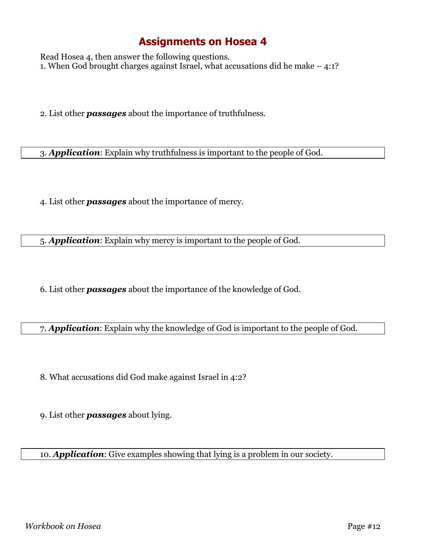Read Hosea 4, then answer the following questions. 1. When God brought charges against Israel, what accusations did he make – 4:1?

2. List other *passages* about the importance of truthfulness.

3. *Application*: Explain why truthfulness is important to the people of God.

4. List other *passages* about the importance of mercy.

5. *Application*: Explain why mercy is important to the people of God.

6. List other *passages* about the importance of the knowledge of God.

7. *Application*: Explain why the knowledge of God is important to the people of God.

8. What accusations did God make against Israel in 4:2?

9. List other *passages* about lying.

10. *Application*: Give examples showing that lying is a problem in our society.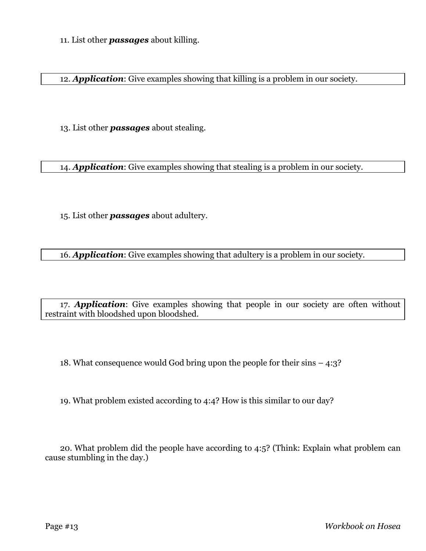11. List other *passages* about killing.

12. *Application*: Give examples showing that killing is a problem in our society.

13. List other *passages* about stealing.

14. *Application*: Give examples showing that stealing is a problem in our society.

15. List other *passages* about adultery.

16. *Application*: Give examples showing that adultery is a problem in our society.

17. *Application*: Give examples showing that people in our society are often without restraint with bloodshed upon bloodshed.

18. What consequence would God bring upon the people for their sins – 4:3?

19. What problem existed according to 4:4? How is this similar to our day?

20. What problem did the people have according to 4:5? (Think: Explain what problem can cause stumbling in the day.)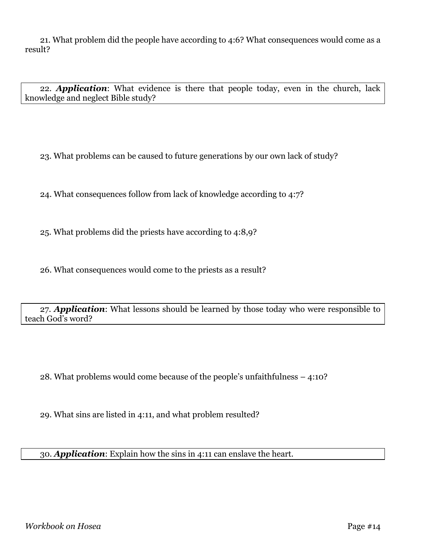21. What problem did the people have according to 4:6? What consequences would come as a result?

22. *Application*: What evidence is there that people today, even in the church, lack knowledge and neglect Bible study?

23. What problems can be caused to future generations by our own lack of study?

24. What consequences follow from lack of knowledge according to 4:7?

25. What problems did the priests have according to 4:8,9?

26. What consequences would come to the priests as a result?

27. *Application*: What lessons should be learned by those today who were responsible to teach God's word?

28. What problems would come because of the people's unfaithfulness – 4:10?

29. What sins are listed in 4:11, and what problem resulted?

30. *Application*: Explain how the sins in 4:11 can enslave the heart.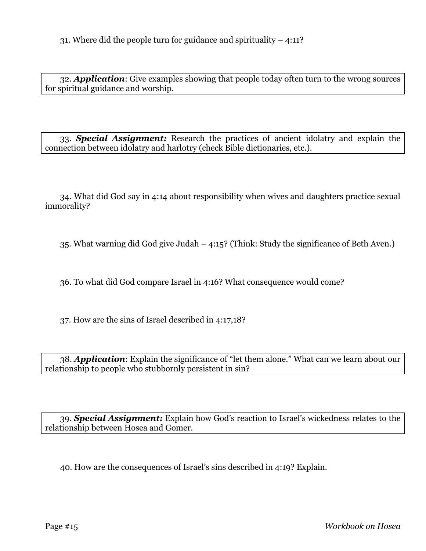32. *Application*: Give examples showing that people today often turn to the wrong sources for spiritual guidance and worship.

33. *Special Assignment:* Research the practices of ancient idolatry and explain the connection between idolatry and harlotry (check Bible dictionaries, etc.).

34. What did God say in 4:14 about responsibility when wives and daughters practice sexual immorality?

35. What warning did God give Judah – 4:15? (Think: Study the significance of Beth Aven.)

36. To what did God compare Israel in 4:16? What consequence would come?

37. How are the sins of Israel described in 4:17,18?

38. *Application*: Explain the significance of "let them alone." What can we learn about our relationship to people who stubbornly persistent in sin?

39. *Special Assignment:* Explain how God's reaction to Israel's wickedness relates to the relationship between Hosea and Gomer.

40. How are the consequences of Israel's sins described in 4:19? Explain.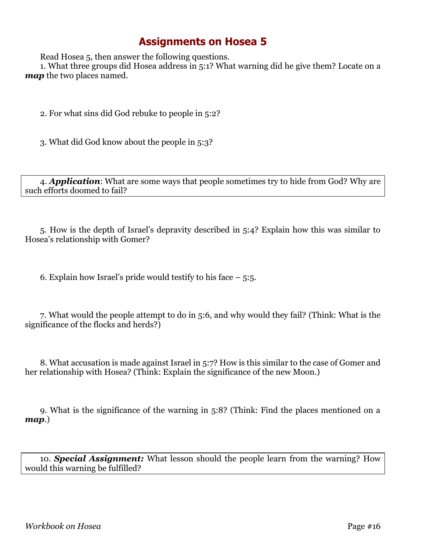Read Hosea 5, then answer the following questions.

1. What three groups did Hosea address in 5:1? What warning did he give them? Locate on a *map* the two places named.

2. For what sins did God rebuke to people in 5:2?

3. What did God know about the people in 5:3?

4. *Application*: What are some ways that people sometimes try to hide from God? Why are such efforts doomed to fail?

5. How is the depth of Israel's depravity described in 5:4? Explain how this was similar to Hosea's relationship with Gomer?

6. Explain how Israel's pride would testify to his face  $-5:5$ .

7. What would the people attempt to do in 5:6, and why would they fail? (Think: What is the significance of the flocks and herds?)

8. What accusation is made against Israel in 5:7? How is this similar to the case of Gomer and her relationship with Hosea? (Think: Explain the significance of the new Moon.)

9. What is the significance of the warning in 5:8? (Think: Find the places mentioned on a *map*.)

10. *Special Assignment:* What lesson should the people learn from the warning? How would this warning be fulfilled?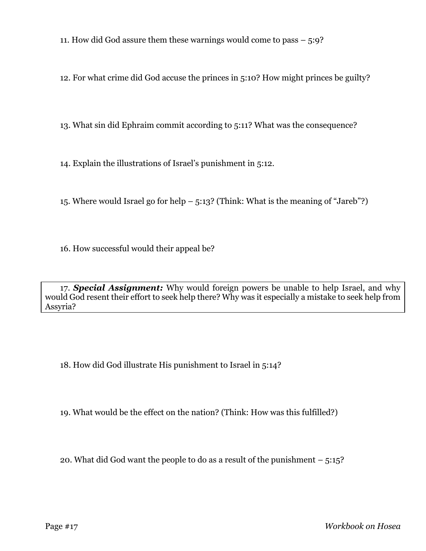11. How did God assure them these warnings would come to pass – 5:9?

12. For what crime did God accuse the princes in 5:10? How might princes be guilty?

13. What sin did Ephraim commit according to 5:11? What was the consequence?

14. Explain the illustrations of Israel's punishment in 5:12.

15. Where would Israel go for help – 5:13? (Think: What is the meaning of "Jareb"?)

16. How successful would their appeal be?

17. *Special Assignment:* Why would foreign powers be unable to help Israel, and why would God resent their effort to seek help there? Why was it especially a mistake to seek help from Assyria?

18. How did God illustrate His punishment to Israel in 5:14?

19. What would be the effect on the nation? (Think: How was this fulfilled?)

20. What did God want the people to do as a result of the punishment – 5:15?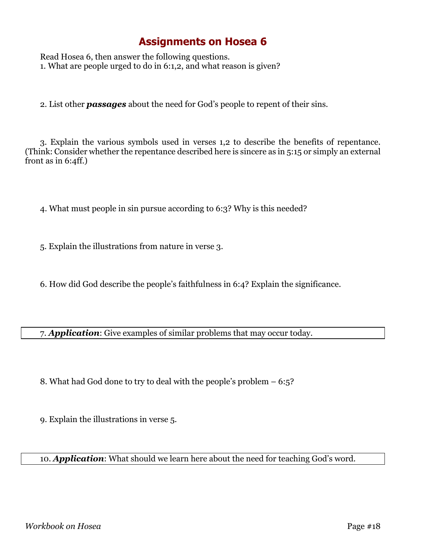Read Hosea 6, then answer the following questions. 1. What are people urged to do in 6:1,2, and what reason is given?

2. List other *passages* about the need for God's people to repent of their sins.

3. Explain the various symbols used in verses 1,2 to describe the benefits of repentance. (Think: Consider whether the repentance described here is sincere as in 5:15 or simply an external front as in 6:4ff.)

- 4. What must people in sin pursue according to 6:3? Why is this needed?
- 5. Explain the illustrations from nature in verse 3.
- 6. How did God describe the people's faithfulness in 6:4? Explain the significance.

7. *Application*: Give examples of similar problems that may occur today.

- 8. What had God done to try to deal with the people's problem 6:5?
- 9. Explain the illustrations in verse 5.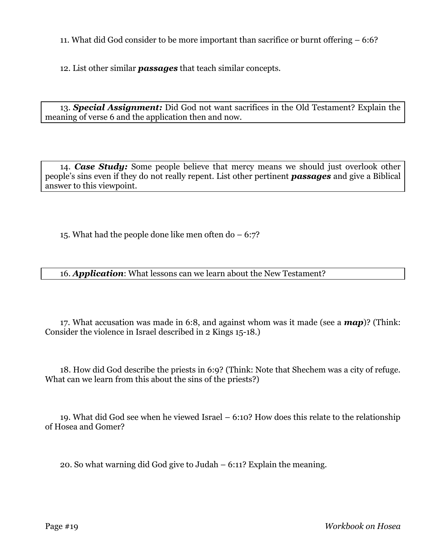11. What did God consider to be more important than sacrifice or burnt offering – 6:6?

12. List other similar *passages* that teach similar concepts.

13. *Special Assignment:* Did God not want sacrifices in the Old Testament? Explain the meaning of verse 6 and the application then and now.

14. *Case Study:* Some people believe that mercy means we should just overlook other people's sins even if they do not really repent. List other pertinent *passages* and give a Biblical answer to this viewpoint.

15. What had the people done like men often do – 6:7?

16. *Application*: What lessons can we learn about the New Testament?

17. What accusation was made in 6:8, and against whom was it made (see a *map*)? (Think: Consider the violence in Israel described in 2 Kings 15-18.)

18. How did God describe the priests in 6:9? (Think: Note that Shechem was a city of refuge. What can we learn from this about the sins of the priests?)

19. What did God see when he viewed Israel – 6:10? How does this relate to the relationship of Hosea and Gomer?

20. So what warning did God give to Judah – 6:11? Explain the meaning.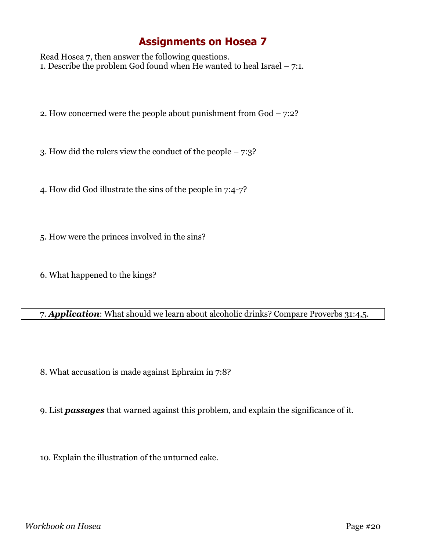Read Hosea 7, then answer the following questions. 1. Describe the problem God found when He wanted to heal Israel – 7:1.

2. How concerned were the people about punishment from God – 7:2?

3. How did the rulers view the conduct of the people – 7:3?

4. How did God illustrate the sins of the people in 7:4-7?

5. How were the princes involved in the sins?

6. What happened to the kings?

#### 7. *Application*: What should we learn about alcoholic drinks? Compare Proverbs 31:4,5.

8. What accusation is made against Ephraim in 7:8?

9. List *passages* that warned against this problem, and explain the significance of it.

10. Explain the illustration of the unturned cake.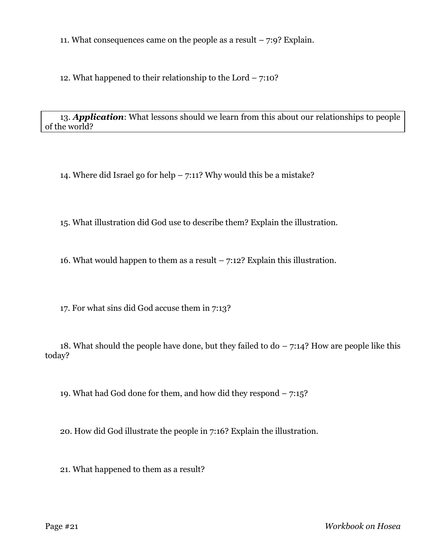11. What consequences came on the people as a result  $-7:9$ ? Explain.

12. What happened to their relationship to the Lord  $-7:10?$ 

13. *Application*: What lessons should we learn from this about our relationships to people of the world?

14. Where did Israel go for help – 7:11? Why would this be a mistake?

15. What illustration did God use to describe them? Explain the illustration.

16. What would happen to them as a result  $-7:12$ ? Explain this illustration.

17. For what sins did God accuse them in 7:13?

18. What should the people have done, but they failed to  $d_0 - 7:14$ ? How are people like this today?

19. What had God done for them, and how did they respond – 7:15?

20. How did God illustrate the people in 7:16? Explain the illustration.

21. What happened to them as a result?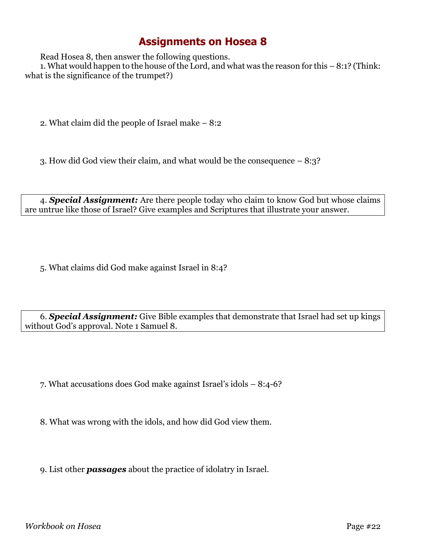Read Hosea 8, then answer the following questions.

1. What would happen to the house of the Lord, and what was the reason for this – 8:1? (Think: what is the significance of the trumpet?)

2. What claim did the people of Israel make – 8:2

3. How did God view their claim, and what would be the consequence – 8:3?

4. *Special Assignment:* Are there people today who claim to know God but whose claims are untrue like those of Israel? Give examples and Scriptures that illustrate your answer.

5. What claims did God make against Israel in 8:4?

6. *Special Assignment:* Give Bible examples that demonstrate that Israel had set up kings without God's approval. Note 1 Samuel 8.

7. What accusations does God make against Israel's idols – 8:4-6?

8. What was wrong with the idols, and how did God view them.

9. List other *passages* about the practice of idolatry in Israel.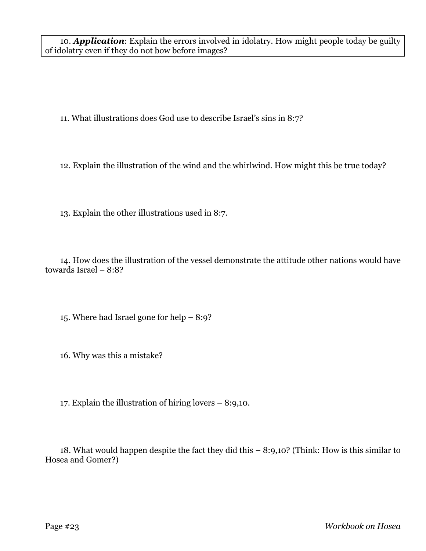10. *Application*: Explain the errors involved in idolatry. How might people today be guilty of idolatry even if they do not bow before images?

11. What illustrations does God use to describe Israel's sins in 8:7?

12. Explain the illustration of the wind and the whirlwind. How might this be true today?

13. Explain the other illustrations used in 8:7.

14. How does the illustration of the vessel demonstrate the attitude other nations would have towards Israel – 8:8?

15. Where had Israel gone for help – 8:9?

16. Why was this a mistake?

17. Explain the illustration of hiring lovers – 8:9,10.

18. What would happen despite the fact they did this – 8:9,10? (Think: How is this similar to Hosea and Gomer?)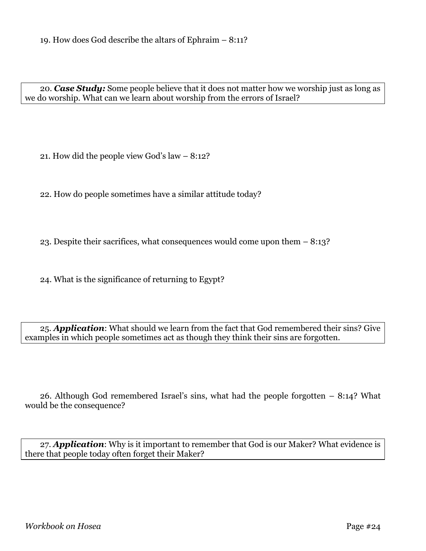20. *Case Study:* Some people believe that it does not matter how we worship just as long as we do worship. What can we learn about worship from the errors of Israel?

21. How did the people view God's law – 8:12?

22. How do people sometimes have a similar attitude today?

23. Despite their sacrifices, what consequences would come upon them – 8:13?

24. What is the significance of returning to Egypt?

25. *Application*: What should we learn from the fact that God remembered their sins? Give examples in which people sometimes act as though they think their sins are forgotten.

26. Although God remembered Israel's sins, what had the people forgotten – 8:14? What would be the consequence?

27. *Application*: Why is it important to remember that God is our Maker? What evidence is there that people today often forget their Maker?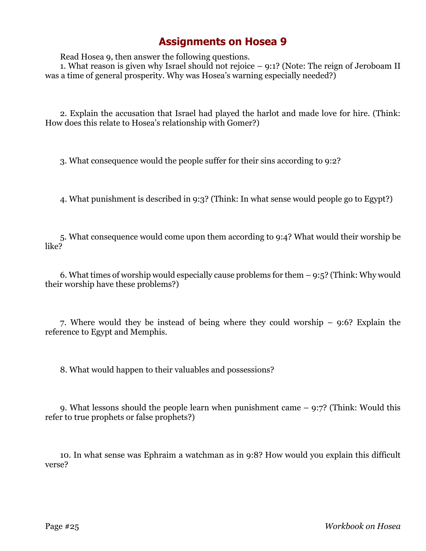Read Hosea 9, then answer the following questions.

1. What reason is given why Israel should not rejoice – 9:1? (Note: The reign of Jeroboam II was a time of general prosperity. Why was Hosea's warning especially needed?)

2. Explain the accusation that Israel had played the harlot and made love for hire. (Think: How does this relate to Hosea's relationship with Gomer?)

3. What consequence would the people suffer for their sins according to 9:2?

4. What punishment is described in 9:3? (Think: In what sense would people go to Egypt?)

5. What consequence would come upon them according to 9:4? What would their worship be like?

6. What times of worship would especially cause problems for them – 9:5? (Think: Why would their worship have these problems?)

7. Where would they be instead of being where they could worship – 9:6? Explain the reference to Egypt and Memphis.

8. What would happen to their valuables and possessions?

9. What lessons should the people learn when punishment came – 9:7? (Think: Would this refer to true prophets or false prophets?)

10. In what sense was Ephraim a watchman as in 9:8? How would you explain this difficult verse?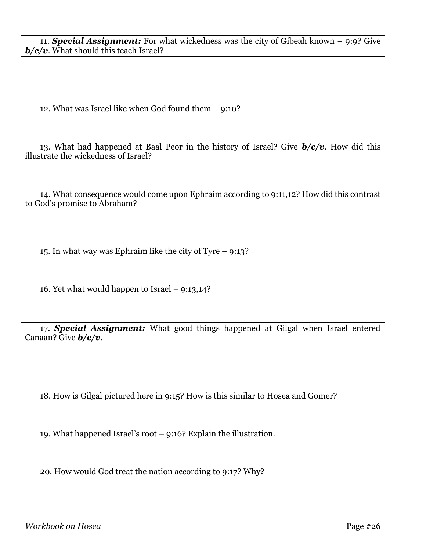11. *Special Assignment:* For what wickedness was the city of Gibeah known – 9:9? Give *b/c/v*. What should this teach Israel?

12. What was Israel like when God found them – 9:10?

13. What had happened at Baal Peor in the history of Israel? Give *b/c/v*. How did this illustrate the wickedness of Israel?

14. What consequence would come upon Ephraim according to 9:11,12? How did this contrast to God's promise to Abraham?

15. In what way was Ephraim like the city of Tyre – 9:13?

16. Yet what would happen to Israel – 9:13,14?

17. *Special Assignment:* What good things happened at Gilgal when Israel entered Canaan? Give *b/c/v*.

18. How is Gilgal pictured here in 9:15? How is this similar to Hosea and Gomer?

19. What happened Israel's root – 9:16? Explain the illustration.

20. How would God treat the nation according to 9:17? Why?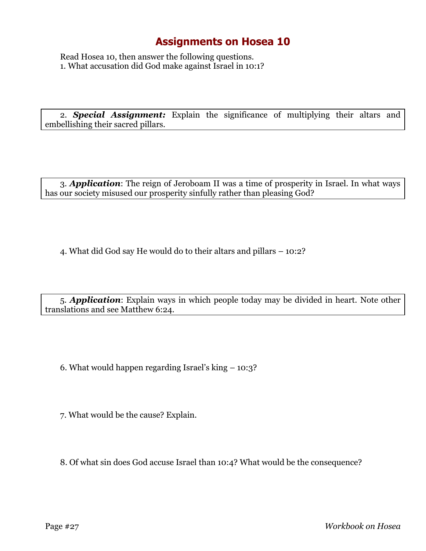Read Hosea 10, then answer the following questions. 1. What accusation did God make against Israel in 10:1?

2. *Special Assignment:* Explain the significance of multiplying their altars and embellishing their sacred pillars.

3. *Application*: The reign of Jeroboam II was a time of prosperity in Israel. In what ways has our society misused our prosperity sinfully rather than pleasing God?

4. What did God say He would do to their altars and pillars – 10:2?

5. *Application*: Explain ways in which people today may be divided in heart. Note other translations and see Matthew 6:24.

6. What would happen regarding Israel's king – 10:3?

7. What would be the cause? Explain.

8. Of what sin does God accuse Israel than 10:4? What would be the consequence?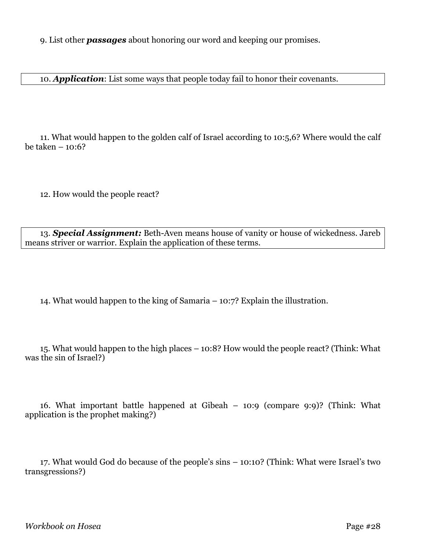9. List other *passages* about honoring our word and keeping our promises.

10. *Application*: List some ways that people today fail to honor their covenants.

11. What would happen to the golden calf of Israel according to 10:5,6? Where would the calf be taken – 10:6?

12. How would the people react?

13. *Special Assignment:* Beth-Aven means house of vanity or house of wickedness. Jareb means striver or warrior. Explain the application of these terms.

14. What would happen to the king of Samaria – 10:7? Explain the illustration.

15. What would happen to the high places – 10:8? How would the people react? (Think: What was the sin of Israel?)

16. What important battle happened at Gibeah – 10:9 (compare 9:9)? (Think: What application is the prophet making?)

17. What would God do because of the people's sins – 10:10? (Think: What were Israel's two transgressions?)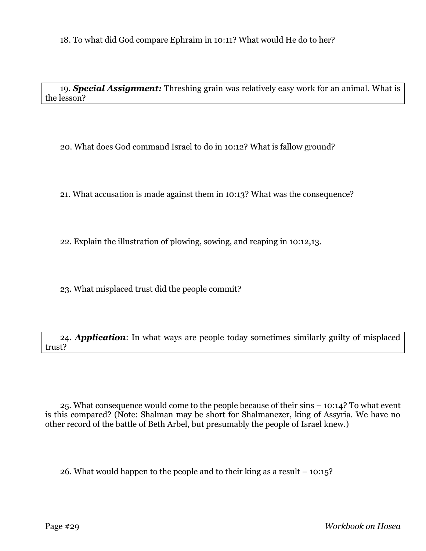19. *Special Assignment:* Threshing grain was relatively easy work for an animal. What is the lesson?

20. What does God command Israel to do in 10:12? What is fallow ground?

21. What accusation is made against them in 10:13? What was the consequence?

22. Explain the illustration of plowing, sowing, and reaping in 10:12,13.

23. What misplaced trust did the people commit?

24. *Application*: In what ways are people today sometimes similarly guilty of misplaced trust?

25. What consequence would come to the people because of their sins – 10:14? To what event is this compared? (Note: Shalman may be short for Shalmanezer, king of Assyria. We have no other record of the battle of Beth Arbel, but presumably the people of Israel knew.)

26. What would happen to the people and to their king as a result – 10:15?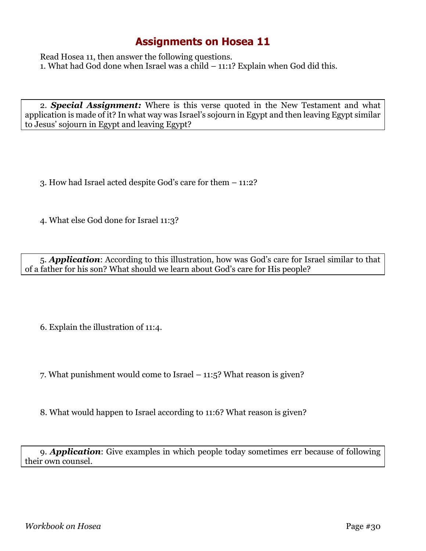Read Hosea 11, then answer the following questions. 1. What had God done when Israel was a child – 11:1? Explain when God did this.

2. *Special Assignment:* Where is this verse quoted in the New Testament and what application is made of it? In what way was Israel's sojourn in Egypt and then leaving Egypt similar to Jesus' sojourn in Egypt and leaving Egypt?

- 3. How had Israel acted despite God's care for them 11:2?
- 4. What else God done for Israel 11:3?

5. *Application*: According to this illustration, how was God's care for Israel similar to that of a father for his son? What should we learn about God's care for His people?

6. Explain the illustration of 11:4.

- 7. What punishment would come to Israel 11:5? What reason is given?
- 8. What would happen to Israel according to 11:6? What reason is given?

9. *Application*: Give examples in which people today sometimes err because of following their own counsel.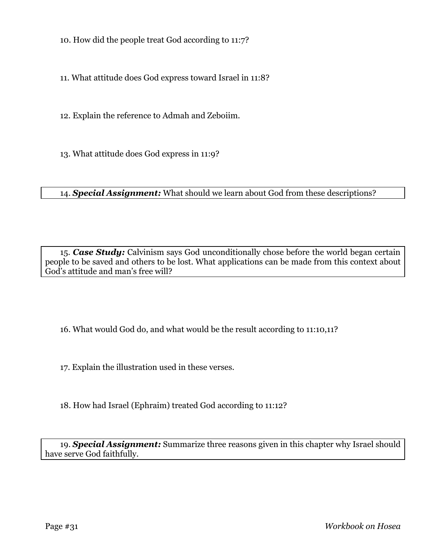10. How did the people treat God according to 11:7?

11. What attitude does God express toward Israel in 11:8?

12. Explain the reference to Admah and Zeboiim.

13. What attitude does God express in 11:9?

14. *Special Assignment:* What should we learn about God from these descriptions?

15. *Case Study:* Calvinism says God unconditionally chose before the world began certain people to be saved and others to be lost. What applications can be made from this context about God's attitude and man's free will?

16. What would God do, and what would be the result according to 11:10,11?

17. Explain the illustration used in these verses.

18. How had Israel (Ephraim) treated God according to 11:12?

19. *Special Assignment:* Summarize three reasons given in this chapter why Israel should have serve God faithfully.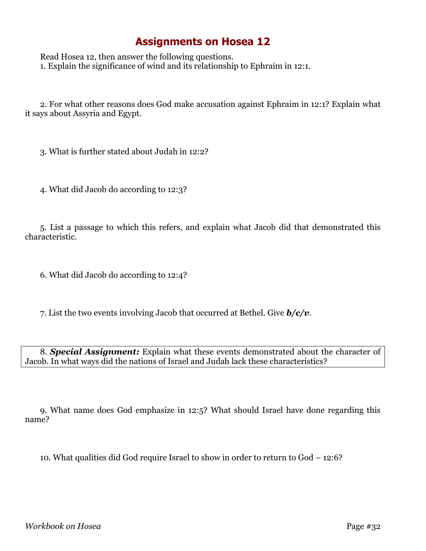Read Hosea 12, then answer the following questions. 1. Explain the significance of wind and its relationship to Ephraim in 12:1.

2. For what other reasons does God make accusation against Ephraim in 12:1? Explain what it says about Assyria and Egypt.

3. What is further stated about Judah in 12:2?

4. What did Jacob do according to 12:3?

5. List a passage to which this refers, and explain what Jacob did that demonstrated this characteristic.

6. What did Jacob do according to 12:4?

7. List the two events involving Jacob that occurred at Bethel. Give *b/c/v*.

8. *Special Assignment:* Explain what these events demonstrated about the character of Jacob. In what ways did the nations of Israel and Judah lack these characteristics?

9. What name does God emphasize in 12:5? What should Israel have done regarding this name?

10. What qualities did God require Israel to show in order to return to God – 12:6?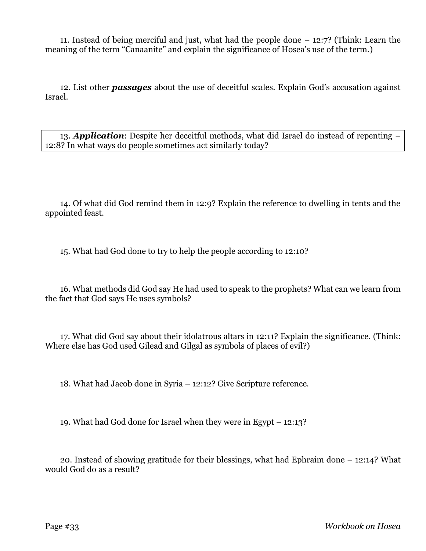11. Instead of being merciful and just, what had the people done – 12:7? (Think: Learn the meaning of the term "Canaanite" and explain the significance of Hosea's use of the term.)

12. List other *passages* about the use of deceitful scales. Explain God's accusation against Israel.

13. *Application*: Despite her deceitful methods, what did Israel do instead of repenting – 12:8? In what ways do people sometimes act similarly today?

14. Of what did God remind them in 12:9? Explain the reference to dwelling in tents and the appointed feast.

15. What had God done to try to help the people according to 12:10?

16. What methods did God say He had used to speak to the prophets? What can we learn from the fact that God says He uses symbols?

17. What did God say about their idolatrous altars in 12:11? Explain the significance. (Think: Where else has God used Gilead and Gilgal as symbols of places of evil?)

18. What had Jacob done in Syria – 12:12? Give Scripture reference.

19. What had God done for Israel when they were in Egypt – 12:13?

20. Instead of showing gratitude for their blessings, what had Ephraim done – 12:14? What would God do as a result?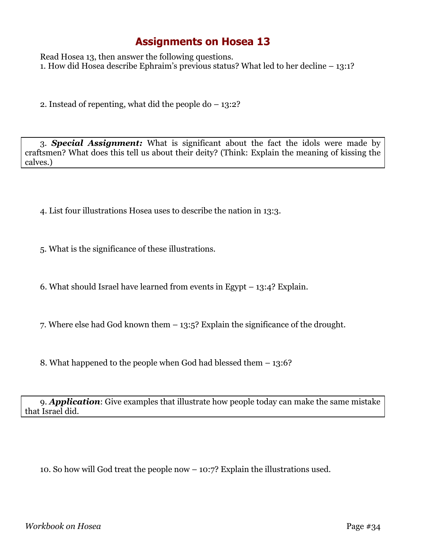Read Hosea 13, then answer the following questions. 1. How did Hosea describe Ephraim's previous status? What led to her decline – 13:1?

2. Instead of repenting, what did the people  $do - 13:2?$ 

3. *Special Assignment:* What is significant about the fact the idols were made by craftsmen? What does this tell us about their deity? (Think: Explain the meaning of kissing the calves.)

- 4. List four illustrations Hosea uses to describe the nation in 13:3.
- 5. What is the significance of these illustrations.
- 6. What should Israel have learned from events in Egypt 13:4? Explain.
- 7. Where else had God known them 13:5? Explain the significance of the drought.
- 8. What happened to the people when God had blessed them 13:6?

9. *Application*: Give examples that illustrate how people today can make the same mistake that Israel did.

10. So how will God treat the people now – 10:7? Explain the illustrations used.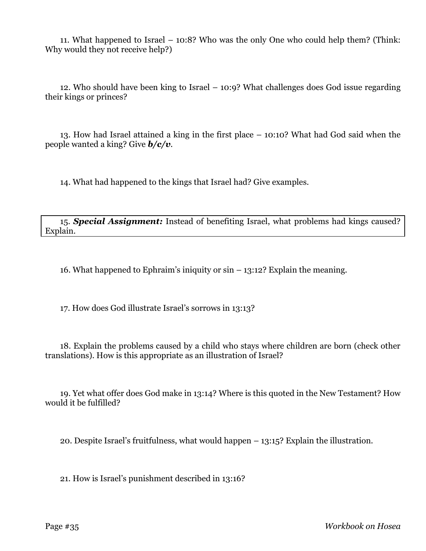11. What happened to Israel – 10:8? Who was the only One who could help them? (Think: Why would they not receive help?)

12. Who should have been king to Israel – 10:9? What challenges does God issue regarding their kings or princes?

13. How had Israel attained a king in the first place – 10:10? What had God said when the people wanted a king? Give *b/c/v*.

14. What had happened to the kings that Israel had? Give examples.

15. *Special Assignment:* Instead of benefiting Israel, what problems had kings caused? Explain.

16. What happened to Ephraim's iniquity or sin – 13:12? Explain the meaning.

17. How does God illustrate Israel's sorrows in 13:13?

18. Explain the problems caused by a child who stays where children are born (check other translations). How is this appropriate as an illustration of Israel?

19. Yet what offer does God make in 13:14? Where is this quoted in the New Testament? How would it be fulfilled?

20. Despite Israel's fruitfulness, what would happen – 13:15? Explain the illustration.

21. How is Israel's punishment described in 13:16?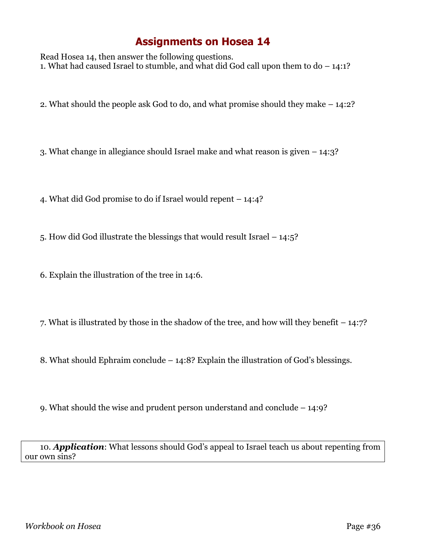Read Hosea 14, then answer the following questions. 1. What had caused Israel to stumble, and what did God call upon them to do  $-14:1?$ 

2. What should the people ask God to do, and what promise should they make – 14:2?

3. What change in allegiance should Israel make and what reason is given – 14:3?

4. What did God promise to do if Israel would repent – 14:4?

5. How did God illustrate the blessings that would result Israel – 14:5?

6. Explain the illustration of the tree in 14:6.

7. What is illustrated by those in the shadow of the tree, and how will they benefit – 14:7?

8. What should Ephraim conclude – 14:8? Explain the illustration of God's blessings.

9. What should the wise and prudent person understand and conclude – 14:9?

10. *Application*: What lessons should God's appeal to Israel teach us about repenting from our own sins?